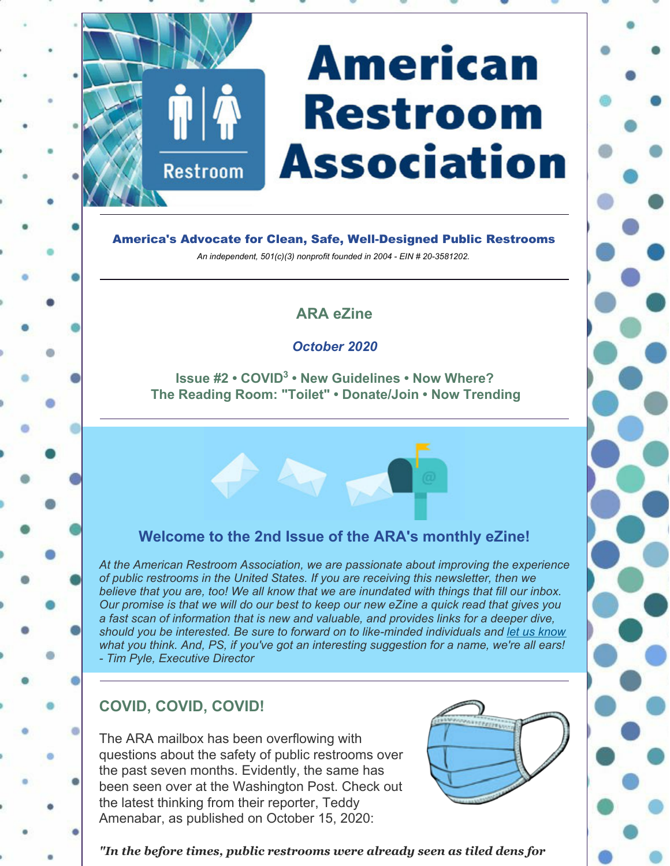# **American Restroom Association**

America's Advocate for Clean, Safe, Well-Designed Public Restrooms *An independent, 501(c)(3) nonprofit founded in 2004 - EIN # 20-3581202.*

# **ARA eZine**

#### *October 2020*

**Issue #2 • COVID<sup>3</sup> • New Guidelines • Now Where? The Reading Room: "Toilet" • Donate/Join • Now Trending**



# **Welcome to the 2nd Issue of the ARA's monthly eZine!**

*At the American Restroom Association, we are passionate about improving the experience of public restrooms in the United States. If you are receiving this newsletter, then we believe that you are, too! We all know that we are inundated with things that fill our inbox. Our promise is that we will do our best to keep our new eZine a quick read that gives you a fast scan of information that is new and valuable, and provides links for a deeper dive, should you be interested. Be sure to forward on to like-minded individuals and let us know what you think. And, PS, if you've got an interesting suggestion for a name, we're all ears! - Tim Pyle, Executive Director*

# **COVID, COVID, COVID!**

**Restroom** 

The ARA mailbox has been overflowing with questions about the safety of public restrooms over the past seven months. Evidently, the same has been seen over at the Washington Post. Check out the latest thinking from their reporter, Teddy Amenabar, as published on October 15, 2020:



*"In the before times, public restrooms were already seen as tiled dens for*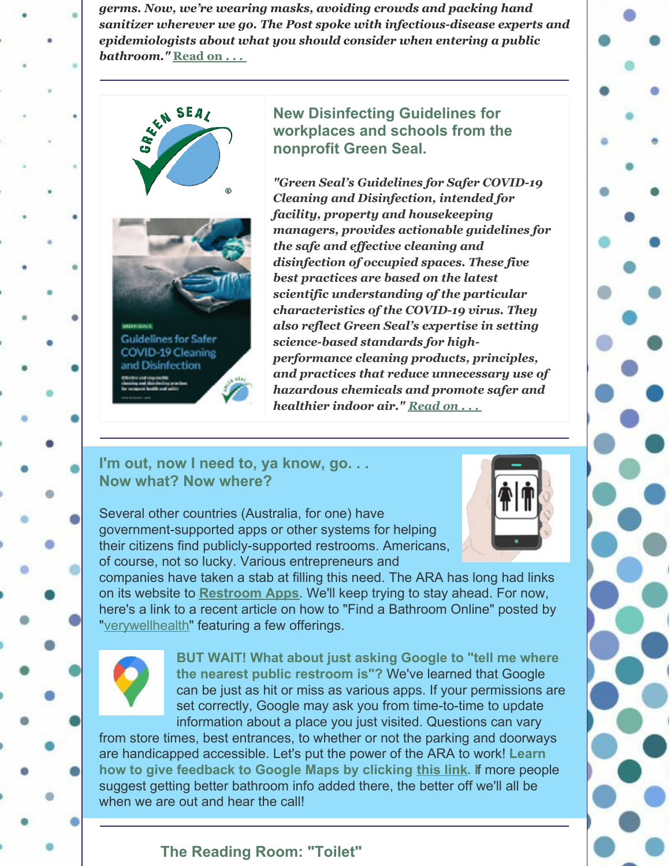*germs. Now, we're wearing masks, avoiding crowds and packing hand sanitizer wherever we go. The Post spoke with infectious-disease experts and epidemiologists about what you should consider when entering a public bathroom."* **Read on . . .**





Guidelines for Safer **COVID-19 Cleaning** and Disinfection

**New Disinfecting Guidelines for workplaces and schools from the nonprofit Green Seal.**

*"Green Seal's Guidelines for Safer COVID-19 Cleaning and Disinfection, intended for facility, property and housekeeping managers, provides actionable guidelines for the safe and effective cleaning and disinfection of occupied spaces. These five best practices are based on the latest scientific understanding of the particular characteristics of the COVID-19 virus. They also reflect Green Seal's expertise in setting science-based standards for highperformance cleaning products, principles, and practices that reduce unnecessary use of hazardous chemicals and promote safer and healthier indoor air." Read on . . .*

#### **I'm out, now I need to, ya know, go. . . Now what? Now where?**



Several other countries (Australia, for one) have government-supported apps or other systems for helping their citizens find publicly-supported restrooms. Americans, of course, not so lucky. Various entrepreneurs and

companies have taken a stab at filling this need. The ARA has long had links on its website to **Restroom Apps**. We'll keep trying to stay ahead. For now, here's a link to a recent article on how to "Find a Bathroom Online" posted by "verywellhealth" featuring a few offerings.



**BUT WAIT! What about just asking Google to "tell me where the nearest public restroom is"?** We've learned that Google can be just as hit or miss as various apps. If your permissions are set correctly, Google may ask you from time-to-time to update information about a place you just visited. Questions can vary

from store times, best entrances, to whether or not the parking and doorways are handicapped accessible. Let's put the power of the ARA to work! **Learn how to give feedback to Google Maps by clicking this link. I**f more people suggest getting better bathroom info added there, the better off we'll all be when we are out and hear the call!

### **The Reading Room: "Toilet"**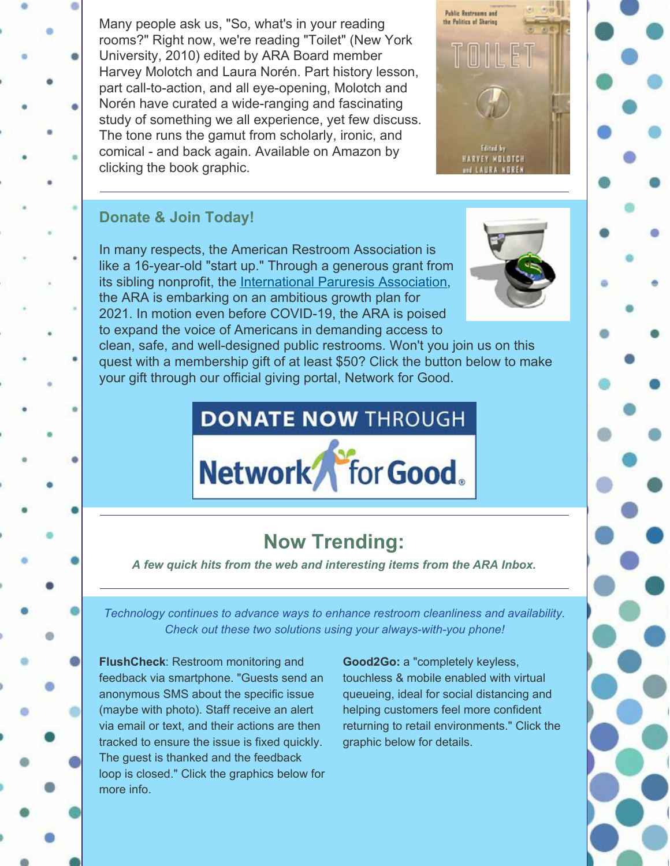Many people ask us, "So, what's in your reading rooms?" Right now, we're reading "Toilet" (New York University, 2010) edited by ARA Board member Harvey Molotch and Laura Norén. Part history lesson, part call-to-action, and all eye-opening, Molotch and Norén have curated a wide-ranging and fascinating study of something we all experience, yet few discuss. The tone runs the gamut from scholarly, ironic, and comical - and back again. Available on Amazon by clicking the book graphic.



## **Donate & Join Today!**

In many respects, the American Restroom Association is like a 16-year-old "start up." Through a generous grant from its sibling nonprofit, the International Paruresis Association, the ARA is embarking on an ambitious growth plan for 2021. In motion even before COVID-19, the ARA is poised to expand the voice of Americans in demanding access to



clean, safe, and well-designed public restrooms. Won't you join us on this quest with a membership gift of at least \$50? Click the button below to make your gift through our official giving portal, Network for Good.

# **DONATE NOW THROUGH**



# **Now Trending:**

*A few quick hits from the web and interesting items from the ARA Inbox.*

*Technology continues to advance ways to enhance restroom cleanliness and availability. Check out these two solutions using your always-with-you phone!*

**FlushCheck**: Restroom monitoring and feedback via smartphone. "Guests send an anonymous SMS about the specific issue (maybe with photo). Staff receive an alert via email or text, and their actions are then tracked to ensure the issue is fixed quickly. The guest is thanked and the feedback loop is closed." Click the graphics below for more info.

**Good2Go:** a "completely keyless, touchless & mobile enabled with virtual queueing, ideal for social distancing and helping customers feel more confident returning to retail environments." Click the graphic below for details.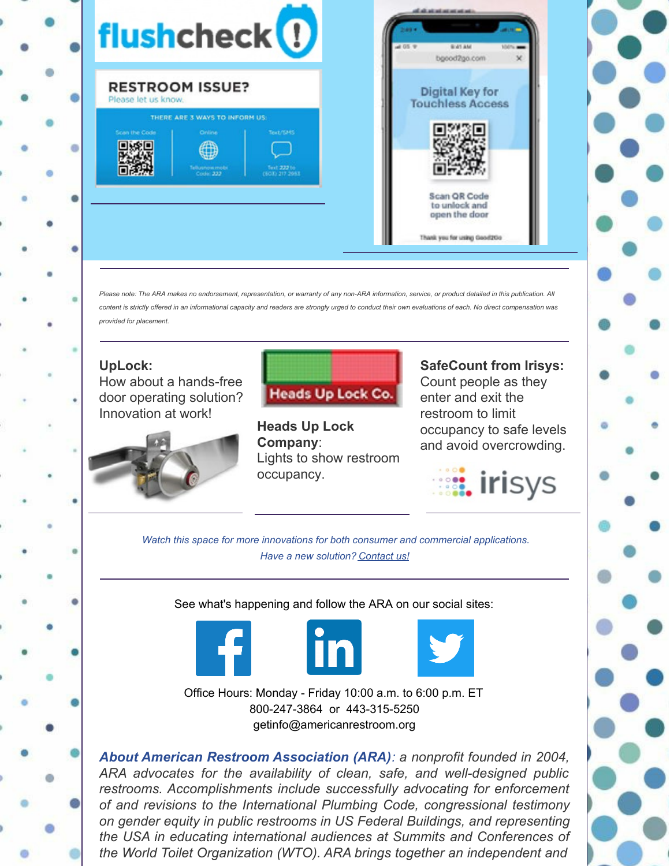

*Please note: The ARA makes no endorsement, representation, or warranty of any non-ARA information, service, or product detailed in this publication. All content is strictly offered in an informational capacity and readers are strongly urged to conduct their own evaluations of each. No direct compensation was provided for placement.*

**UpLock:** How about a hands-free door operating solution? Innovation at work!



**Heads Up Lock Company**: Lights to show restroom occupancy.

**SafeCount from Irisys:** Count people as they enter and exit the restroom to limit occupancy to safe levels and avoid overcrowding.



*Watch this space for more innovations for both consumer and commercial applications. Have a new solution? Contact us!*

See what's happening and follow the ARA on our social sites:





Office Hours: Monday - Friday 10:00 a.m. to 6:00 p.m. ET 800-247-3864 or 443-315-5250 getinfo@americanrestroom.org

*About American Restroom Association (ARA): a nonprofit founded in 2004, ARA advocates for the availability of clean, safe, and well-designed public restrooms. Accomplishments include successfully advocating for enforcement of and revisions to the International Plumbing Code, congressional testimony on gender equity in public restrooms in US Federal Buildings, and representing the USA in educating international audiences at Summits and Conferences of the World Toilet Organization (WTO). ARA brings together an independent and*